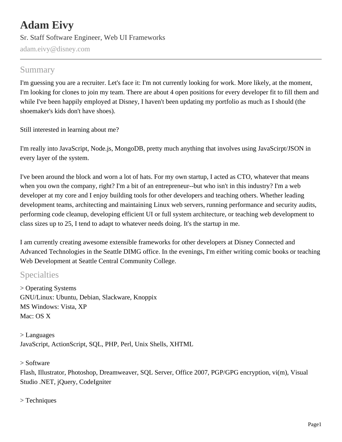# **Adam Eivy** Sr. Staff Software Engineer, Web UI Frameworks adam.eivy@disney.com

#### Summary

I'm guessing you are a recruiter. Let's face it: I'm not currently looking for work. More likely, at the moment, I'm looking for clones to join my team. There are about 4 open positions for every developer fit to fill them and while I've been happily employed at Disney, I haven't been updating my portfolio as much as I should (the shoemaker's kids don't have shoes).

Still interested in learning about me?

I'm really into JavaScript, Node.js, MongoDB, pretty much anything that involves using JavaScirpt/JSON in every layer of the system.

I've been around the block and worn a lot of hats. For my own startup, I acted as CTO, whatever that means when you own the company, right? I'm a bit of an entrepreneur--but who isn't in this industry? I'm a web developer at my core and I enjoy building tools for other developers and teaching others. Whether leading development teams, architecting and maintaining Linux web servers, running performance and security audits, performing code cleanup, developing efficient UI or full system architecture, or teaching web development to class sizes up to 25, I tend to adapt to whatever needs doing. It's the startup in me.

I am currently creating awesome extensible frameworks for other developers at Disney Connected and Advanced Technologies in the Seattle DIMG office. In the evenings, I'm either writing comic books or teaching Web Development at Seattle Central Community College.

#### Specialties

> Operating Systems GNU/Linux: Ubuntu, Debian, Slackware, Knoppix MS Windows: Vista, XP Mac: OS X

> Languages JavaScript, ActionScript, SQL, PHP, Perl, Unix Shells, XHTML

#### > Software

Flash, Illustrator, Photoshop, Dreamweaver, SQL Server, Office 2007, PGP/GPG encryption, vi(m), Visual Studio .NET, jQuery, CodeIgniter

> Techniques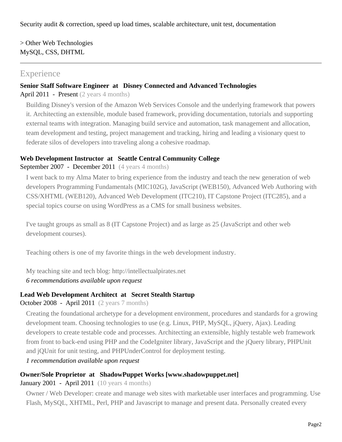Security audit & correction, speed up load times, scalable architecture, unit test, documentation

> Other Web Technologies MySQL, CSS, DHTML

#### **Experience**

#### **Senior Staff Software Engineer at Disney Connected and Advanced Technologies**

April 2011 - Present (2 years 4 months)

Building Disney's version of the Amazon Web Services Console and the underlying framework that powers it. Architecting an extensible, module based framework, providing documentation, tutorials and supporting external teams with integration. Managing build service and automation, task management and allocation, team development and testing, project management and tracking, hiring and leading a visionary quest to federate silos of developers into traveling along a cohesive roadmap.

#### **Web Development Instructor at Seattle Central Community College**

#### September 2007 - December 2011 (4 years 4 months)

I went back to my Alma Mater to bring experience from the industry and teach the new generation of web developers Programming Fundamentals (MIC102G), JavaScript (WEB150), Advanced Web Authoring with CSS/XHTML (WEB120), Advanced Web Development (ITC210), IT Capstone Project (ITC285), and a special topics course on using WordPress as a CMS for small business websites.

I've taught groups as small as 8 (IT Capstone Project) and as large as 25 (JavaScript and other web development courses).

Teaching others is one of my favorite things in the web development industry.

My teaching site and tech blog: http://intellectualpirates.net

*6 recommendations available upon request*

#### **Lead Web Development Architect at Secret Stealth Startup**

#### October 2008 - April 2011 (2 years 7 months)

Creating the foundational archetype for a development environment, procedures and standards for a growing development team. Choosing technologies to use (e.g. Linux, PHP, MySQL, jQuery, Ajax). Leading developers to create testable code and processes. Architecting an extensible, highly testable web framework from front to back-end using PHP and the CodeIgniter library, JavaScript and the jQuery library, PHPUnit and jQUnit for unit testing, and PHPUnderControl for deployment testing.

*1 recommendation available upon request*

#### **Owner/Sole Proprietor at ShadowPuppet Works [www.shadowpuppet.net]**

#### January 2001 - April 2011 (10 years 4 months)

Owner / Web Developer: create and manage web sites with marketable user interfaces and programming. Use Flash, MySQL, XHTML, Perl, PHP and Javascript to manage and present data. Personally created every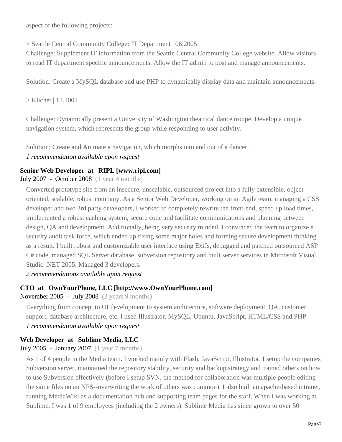aspect of the following projects:

> Seattle Central Community College: IT Department | 06.2005

Challenge: Supplement IT information from the Seattle Central Community College website. Allow visitors to read IT department specific announcements. Allow the IT admin to post and manage announcements.

Solution: Create a MySQL database and use PHP to dynamically display data and maintain announcements.

> Klichet | 12.2002

Challenge: Dynamically present a University of Washington theatrical dance troupe. Develop a unique navigation system, which represents the group while responding to user activity.

Solution: Create and Animate a navigation, which morphs into and out of a dancer.

#### *1 recommendation available upon request*

#### **Senior Web Developer at RIPL [www.ripl.com]**

July 2007 - October 2008 (1 year 4 months)

Converted prototype site from an insecure, unscalable, outsourced project into a fully extensible, object oriented, scalable, robust company. As a Senior Web Developer, working on an Agile team, managing a CSS developer and two 3rd party developers, I worked to completely rewrite the front-end, speed up load times, implemented a robust caching system, secure code and facilitate communications and planning between design, QA and development. Additionally, being very security minded, I convinced the team to organize a security audit task force, which ended up fixing some major holes and forming secure development thinking as a result. I built robust and customizable user interface using ExtJs, debugged and patched outsourced ASP C# code, managed SQL Server database, subversion repository and built server services in Microsoft Visual Studio .NET 2005. Managed 3 developers.

*2 recommendations available upon request*

#### **CTO at OwnYourPhone, LLC [http://www.OwnYourPhone.com]**

November 2005 - July 2008 (2 years 9 months)

Everything from concept to UI development to system architecture, software deployment, QA, customer support, database architecture, etc. I used Illustrator, MySQL, Ubuntu, JavaScript, HTML/CSS and PHP.

*1 recommendation available upon request*

#### **Web Developer at Sublime Media, LLC**

July 2005 - January 2007 (1 year 7 months)

As 1 of 4 people in the Media team. I worked mainly with Flash, JavaScript, Illustrator. I setup the companies Subversion server, maintained the repository stability, security and backup strategy and trained others on how to use Subversion effectively (before I setup SVN, the method for collaboration was multiple people editing the same files on an NFS--overwriting the work of others was common). I also built an apache-based intranet, running MediaWiki as a documentation hub and supporting team pages for the staff. When I was working at Sublime, I was 1 of 9 employees (including the 2 owners). Sublime Media has since grown to over 50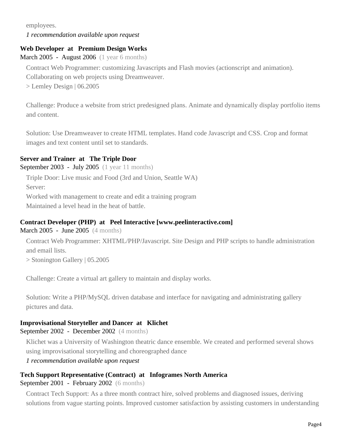employees. *1 recommendation available upon request*

#### **Web Developer at Premium Design Works**

March 2005 - August 2006 (1 year 6 months)

Contract Web Programmer: customizing Javascripts and Flash movies (actionscript and animation).

Collaborating on web projects using Dreamweaver.

> Lemley Design | 06.2005

Challenge: Produce a website from strict predesigned plans. Animate and dynamically display portfolio items and content.

Solution: Use Dreamweaver to create HTML templates. Hand code Javascript and CSS. Crop and format images and text content until set to standards.

#### **Server and Trainer at The Triple Door**

September 2003 - July 2005 (1 year 11 months)

Triple Door: Live music and Food (3rd and Union, Seattle WA)

Server:

Worked with management to create and edit a training program

Maintained a level head in the heat of battle.

#### **Contract Developer (PHP) at Peel Interactive [www.peelinteractive.com]**

March 2005 - June 2005 (4 months)

Contract Web Programmer: XHTML/PHP/Javascript. Site Design and PHP scripts to handle administration and email lists.

> Stonington Gallery | 05.2005

Challenge: Create a virtual art gallery to maintain and display works.

Solution: Write a PHP/MySQL driven database and interface for navigating and administrating gallery pictures and data.

#### **Improvisational Storyteller and Dancer at Klichet**

September 2002 - December 2002 (4 months)

Klichet was a University of Washington theatric dance ensemble. We created and performed several shows using improvisational storytelling and choreographed dance

*1 recommendation available upon request*

#### **Tech Support Representative (Contract) at Infogrames North America**

September 2001 - February 2002 (6 months)

Contract Tech Support: As a three month contract hire, solved problems and diagnosed issues, deriving solutions from vague starting points. Improved customer satisfaction by assisting customers in understanding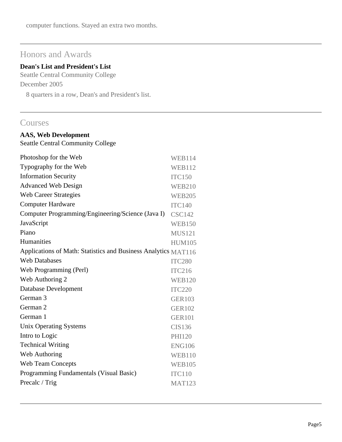computer functions. Stayed an extra two months.

# Honors and Awards

#### **Dean's List and President's List**

Seattle Central Community College December 2005

8 quarters in a row, Dean's and President's list.

#### **Courses**

### **AAS, Web Development**

Seattle Central Community College

| Photoshop for the Web                                          | <b>WEB114</b> |
|----------------------------------------------------------------|---------------|
| Typography for the Web                                         | <b>WEB112</b> |
| <b>Information Security</b>                                    | <b>ITC150</b> |
| <b>Advanced Web Design</b>                                     | <b>WEB210</b> |
| <b>Web Career Strategies</b>                                   | <b>WEB205</b> |
| <b>Computer Hardware</b>                                       | <b>ITC140</b> |
| Computer Programming/Engineering/Science (Java I)              | <b>CSC142</b> |
| JavaScript                                                     | <b>WEB150</b> |
| Piano                                                          | <b>MUS121</b> |
| Humanities                                                     | <b>HUM105</b> |
| Applications of Math: Statistics and Business Analytics MAT116 |               |
| <b>Web Databases</b>                                           | <b>ITC280</b> |
| Web Programming (Perl)                                         | <b>ITC216</b> |
| Web Authoring 2                                                | <b>WEB120</b> |
| Database Development                                           | <b>ITC220</b> |
| German 3                                                       | <b>GER103</b> |
| German <sub>2</sub>                                            | <b>GER102</b> |
| German 1                                                       | <b>GER101</b> |
| Unix Operating Systems                                         | CIS136        |
| Intro to Logic                                                 | <b>PHI120</b> |
| <b>Technical Writing</b>                                       | <b>ENG106</b> |
| Web Authoring                                                  | <b>WEB110</b> |
| <b>Web Team Concepts</b>                                       | <b>WEB105</b> |
| Programming Fundamentals (Visual Basic)                        | <b>ITC110</b> |
| Precalc / Trig                                                 | <b>MAT123</b> |
|                                                                |               |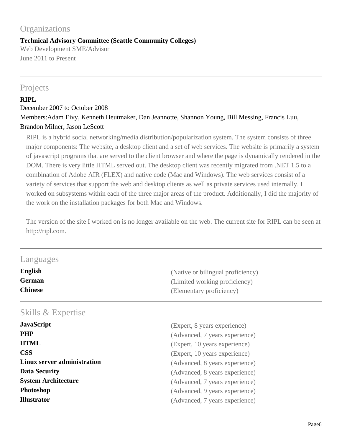# **Organizations**

#### **Technical Advisory Committee (Seattle Community Colleges)**

Web Development SME/Advisor June 2011 to Present

#### Projects

#### **RIPL**

December 2007 to October 2008 Members:Adam Eivy, Kenneth Heutmaker, Dan Jeannotte, Shannon Young, Bill Messing, Francis Luu, Brandon Milner, Jason LeScott

RIPL is a hybrid social networking/media distribution/popularization system. The system consists of three major components: The website, a desktop client and a set of web services. The website is primarily a system of javascript programs that are served to the client browser and where the page is dynamically rendered in the DOM. There is very little HTML served out. The desktop client was recently migrated from .NET 1.5 to a combination of Adobe AIR (FLEX) and native code (Mac and Windows). The web services consist of a variety of services that support the web and desktop clients as well as private services used internally. I worked on subsystems within each of the three major areas of the product. Additionally, I did the majority of the work on the installation packages for both Mac and Windows.

The version of the site I worked on is no longer available on the web. The current site for RIPL can be seen at http://ripl.com.

| Languages                       |                                                           |
|---------------------------------|-----------------------------------------------------------|
| <b>English</b><br><b>German</b> | (Native or bilingual proficiency)                         |
| <b>Chinese</b>                  | (Limited working proficiency)<br>(Elementary proficiency) |
| Skills & Expertise              |                                                           |
| <b>JavaScript</b>               | (Expert, 8 years experience)                              |
| <b>PHP</b>                      | (Advanced, 7 years experience)                            |
| <b>HTML</b>                     | (Expert, 10 years experience)                             |
| <b>CSS</b>                      | (Expert, 10 years experience)                             |
| Linux server administration     | (Advanced, 8 years experience)                            |
| <b>Data Security</b>            | (Advanced, 8 years experience)                            |
| <b>System Architecture</b>      | (Advanced, 7 years experience)                            |
| Photoshop                       | (Advanced, 9 years experience)                            |
| <b>Illustrator</b>              | (Advanced, 7 years experience)                            |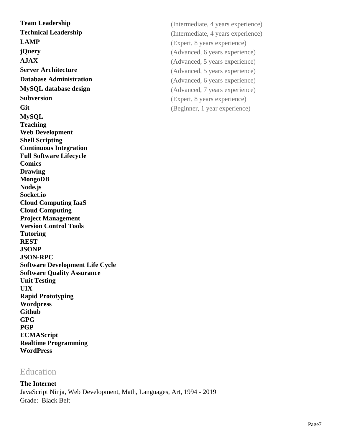**LAMP** (Expert, 8 years experience) **jQuery** (Advanced, 6 years experience) **AJAX** (Advanced, 5 years experience) **Server Architecture** (Advanced, 5 years experience) **Database Administration** (Advanced, 6 years experience) **MySQL database design** (Advanced, 7 years experience) **Subversion** (Expert, 8 years experience) Git Given the Geginner, 1 year experience) **MySQL Teaching Web Development Shell Scripting Continuous Integration Full Software Lifecycle Comics Drawing MongoDB Node.js Socket.io Cloud Computing IaaS Cloud Computing Project Management Version Control Tools Tutoring REST JSONP JSON-RPC Software Development Life Cycle Software Quality Assurance Unit Testing UIX Rapid Prototyping Wordpress Github GPG PGP ECMAScript Realtime Programming WordPress**

# **Team Leadership** (Intermediate, 4 years experience) **Technical Leadership** (Intermediate, 4 years experience)

#### Education

**The Internet** JavaScript Ninja, Web Development, Math, Languages, Art, 1994 - 2019 Grade: Black Belt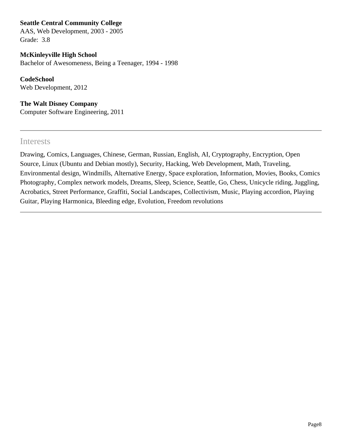**Seattle Central Community College**

AAS, Web Development, 2003 - 2005 Grade: 3.8

#### **McKinleyville High School**

Bachelor of Awesomeness, Being a Teenager, 1994 - 1998

**CodeSchool** Web Development, 2012

**The Walt Disney Company** Computer Software Engineering, 2011

#### Interests

Drawing, Comics, Languages, Chinese, German, Russian, English, AI, Cryptography, Encryption, Open Source, Linux (Ubuntu and Debian mostly), Security, Hacking, Web Development, Math, Traveling, Environmental design, Windmills, Alternative Energy, Space exploration, Information, Movies, Books, Comics Photography, Complex network models, Dreams, Sleep, Science, Seattle, Go, Chess, Unicycle riding, Juggling, Acrobatics, Street Performance, Graffiti, Social Landscapes, Collectivism, Music, Playing accordion, Playing Guitar, Playing Harmonica, Bleeding edge, Evolution, Freedom revolutions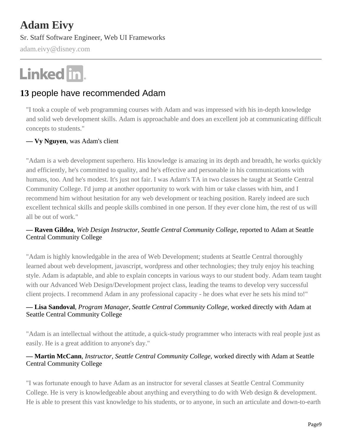# **Adam Eivy**

Sr. Staff Software Engineer, Web UI Frameworks

adam.eivy@disney.com

# Linked in.

## **13** people have recommended Adam

"I took a couple of web programming courses with Adam and was impressed with his in-depth knowledge and solid web development skills. Adam is approachable and does an excellent job at communicating difficult concepts to students."

#### **— Vy Nguyen**, was Adam's client

"Adam is a web development superhero. His knowledge is amazing in its depth and breadth, he works quickly and efficiently, he's committed to quality, and he's effective and personable in his communications with humans, too. And he's modest. It's just not fair. I was Adam's TA in two classes he taught at Seattle Central Community College. I'd jump at another opportunity to work with him or take classes with him, and I recommend him without hesitation for any web development or teaching position. Rarely indeed are such excellent technical skills and people skills combined in one person. If they ever clone him, the rest of us will all be out of work."

#### **— Raven Gildea***, Web Design Instructor, Seattle Central Community College*, reported to Adam at Seattle Central Community College

"Adam is highly knowledgable in the area of Web Development; students at Seattle Central thoroughly learned about web development, javascript, wordpress and other technologies; they truly enjoy his teaching style. Adam is adaptable, and able to explain concepts in various ways to our student body. Adam team taught with our Advanced Web Design/Development project class, leading the teams to develop very successful client projects. I recommend Adam in any professional capacity - he does what ever he sets his mind to!"

#### **— Lisa Sandoval***, Program Manager, Seattle Central Community College*, worked directly with Adam at Seattle Central Community College

"Adam is an intellectual without the attitude, a quick-study programmer who interacts with real people just as easily. He is a great addition to anyone's day."

#### **— Martin McCann***, Instructor, Seattle Central Community College*, worked directly with Adam at Seattle Central Community College

"I was fortunate enough to have Adam as an instructor for several classes at Seattle Central Community College. He is very is knowledgeable about anything and everything to do with Web design & development. He is able to present this vast knowledge to his students, or to anyone, in such an articulate and down-to-earth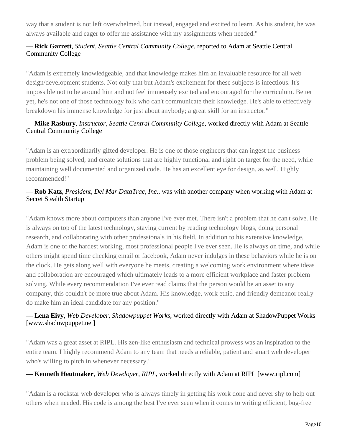way that a student is not left overwhelmed, but instead, engaged and excited to learn. As his student, he was always available and eager to offer me assistance with my assignments when needed."

#### **— Rick Garrett***, Student, Seattle Central Community College*, reported to Adam at Seattle Central Community College

"Adam is extremely knowledgeable, and that knowledge makes him an invaluable resource for all web design/development students. Not only that but Adam's excitement for these subjects is infectious. It's impossible not to be around him and not feel immensely excited and encouraged for the curriculum. Better yet, he's not one of those technology folk who can't communicate their knowledge. He's able to effectively breakdown his immense knowledge for just about anybody; a great skill for an instructor."

#### **— Mike Rasbury***, Instructor, Seattle Central Community College*, worked directly with Adam at Seattle Central Community College

"Adam is an extraordinarily gifted developer. He is one of those engineers that can ingest the business problem being solved, and create solutions that are highly functional and right on target for the need, while maintaining well documented and organized code. He has an excellent eye for design, as well. Highly recommended!"

#### **— Rob Katz***, President, Del Mar DataTrac, Inc.*, was with another company when working with Adam at Secret Stealth Startup

"Adam knows more about computers than anyone I've ever met. There isn't a problem that he can't solve. He is always on top of the latest technology, staying current by reading technology blogs, doing personal research, and collaborating with other professionals in his field. In addition to his extensive knowledge, Adam is one of the hardest working, most professional people I've ever seen. He is always on time, and while others might spend time checking email or facebook, Adam never indulges in these behaviors while he is on the clock. He gets along well with everyone he meets, creating a welcoming work environment where ideas and collaboration are encouraged which ultimately leads to a more efficient workplace and faster problem solving. While every recommendation I've ever read claims that the person would be an asset to any company, this couldn't be more true about Adam. His knowledge, work ethic, and friendly demeanor really do make him an ideal candidate for any position."

#### **— Lena Eivy***, Web Developer, Shadowpuppet Works*, worked directly with Adam at ShadowPuppet Works [www.shadowpuppet.net]

"Adam was a great asset at RIPL. His zen-like enthusiasm and technical prowess was an inspiration to the entire team. I highly recommend Adam to any team that needs a reliable, patient and smart web developer who's willing to pitch in whenever necessary."

#### **— Kenneth Heutmaker***, Web Developer, RIPL*, worked directly with Adam at RIPL [www.ripl.com]

"Adam is a rockstar web developer who is always timely in getting his work done and never shy to help out others when needed. His code is among the best I've ever seen when it comes to writing efficient, bug-free